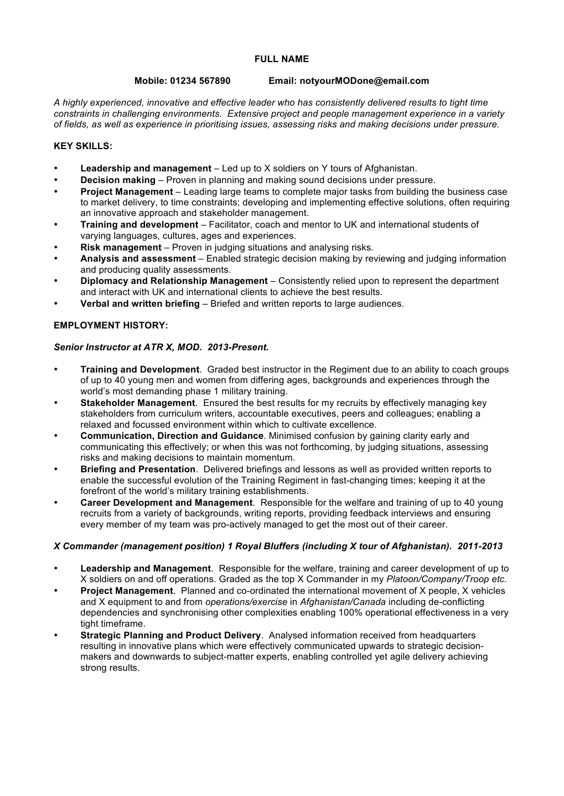### **FULL NAME**

#### **Mobile: 01234 567890 Email: notyourMODone@email.com**

*A highly experienced, innovative and effective leader who has consistently delivered results to tight time constraints in challenging environments. Extensive project and people management experience in a variety of fields, as well as experience in prioritising issues, assessing risks and making decisions under pressure.* 

### **KEY SKILLS:**

- **Leadership and management** Led up to X soldiers on Y tours of Afghanistan.
- **Decision making** Proven in planning and making sound decisions under pressure.
- **Project Management**  Leading large teams to complete major tasks from building the business case to market delivery, to time constraints; developing and implementing effective solutions, often requiring an innovative approach and stakeholder management.
- **Training and development** Facilitator, coach and mentor to UK and international students of varying languages, cultures, ages and experiences.
- **Risk management** Proven in judging situations and analysing risks.
- **Analysis and assessment** Enabled strategic decision making by reviewing and judging information and producing quality assessments.
- **Diplomacy and Relationship Management** Consistently relied upon to represent the department and interact with UK and international clients to achieve the best results.
- **Verbal and written briefing** Briefed and written reports to large audiences.

# **EMPLOYMENT HISTORY:**

### *Senior Instructor at ATR X, MOD. 2013-Present.*

- **Training and Development**. Graded best instructor in the Regiment due to an ability to coach groups of up to 40 young men and women from differing ages, backgrounds and experiences through the world's most demanding phase 1 military training.
- **Stakeholder Management**. Ensured the best results for my recruits by effectively managing key stakeholders from curriculum writers, accountable executives, peers and colleagues; enabling a relaxed and focussed environment within which to cultivate excellence.
- **Communication, Direction and Guidance**. Minimised confusion by gaining clarity early and communicating this effectively; or when this was not forthcoming, by judging situations, assessing risks and making decisions to maintain momentum.
- **Briefing and Presentation**. Delivered briefings and lessons as well as provided written reports to enable the successful evolution of the Training Regiment in fast-changing times; keeping it at the forefront of the world's military training establishments.
- **Career Development and Management**. Responsible for the welfare and training of up to 40 young recruits from a variety of backgrounds, writing reports, providing feedback interviews and ensuring every member of my team was pro-actively managed to get the most out of their career.

### *X Commander (management position) 1 Royal Bluffers (including X tour of Afghanistan). 2011-2013*

- **Leadership and Management**. Responsible for the welfare, training and career development of up to X soldiers on and off operations. Graded as the top X Commander in my *Platoon/Company/Troop etc.*
- **Project Management**. Planned and co-ordinated the international movement of X people, X vehicles and X equipment to and from *operations/exercise* in *Afghanistan/Canada* including de-conflicting dependencies and synchronising other complexities enabling 100% operational effectiveness in a very tight timeframe.
- **Strategic Planning and Product Delivery**. Analysed information received from headquarters resulting in innovative plans which were effectively communicated upwards to strategic decisionmakers and downwards to subject-matter experts, enabling controlled yet agile delivery achieving strong results.